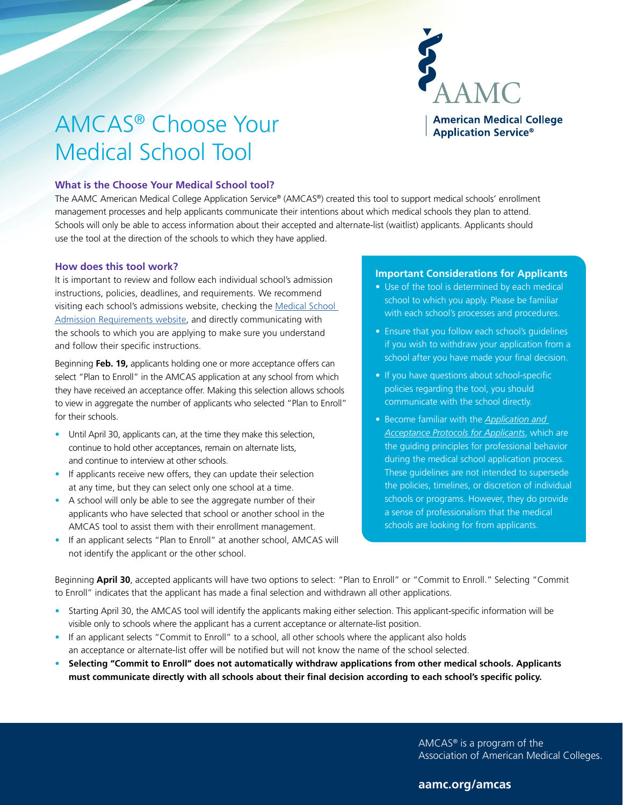

# AMCAS® Choose Your Medical School Tool

## **What is the Choose Your Medical School tool?**

The AAMC American Medical College Application Service® (AMCAS®) created this tool to support medical schools' enrollment management processes and help applicants communicate their intentions about which medical schools they plan to attend. Schools will only be able to access information about their accepted and alternate-list (waitlist) applicants. Applicants should use the tool at the direction of the schools to which they have applied.

#### **How does this tool work?**

It is important to review and follow each individual school's admission instructions, policies, deadlines, and requirements. We recommend visiting each school's admissions website, checking the [Medical School](https://apps.aamc.org/msar-ui/#/landing)  [Admission Requirements website](https://apps.aamc.org/msar-ui/#/landing), and directly communicating with the schools to which you are applying to make sure you understand and follow their specific instructions.

Beginning **Feb. 19,** applicants holding one or more acceptance offers can select "Plan to Enroll" in the AMCAS application at any school from which they have received an acceptance offer. Making this selection allows schools to view in aggregate the number of applicants who selected "Plan to Enroll" for their schools.

- Until April 30, applicants can, at the time they make this selection, continue to hold other acceptances, remain on alternate lists, and continue to interview at other schools.
- If applicants receive new offers, they can update their selection at any time, but they can select only one school at a time.
- A school will only be able to see the aggregate number of their applicants who have selected that school or another school in the AMCAS tool to assist them with their enrollment management.
- If an applicant selects "Plan to Enroll" at another school, AMCAS will not identify the applicant or the other school.

## **Important Considerations for Applicants**

- Use of the tool is determined by each medical school to which you apply. Please be familiar with each school's processes and procedures.
- Ensure that you follow each school's guidelines if you wish to withdraw your application from a school after you have made your final decision.
- If you have questions about school-specific policies regarding the tool, you should communicate with the school directly.
- Become familiar with the *[Application and](https://students-residents.aamc.org/applying-medical-school/article/application-and-acceptance-protocols-applicants/)  [Acceptance Protocols for Applicants](https://students-residents.aamc.org/applying-medical-school/article/application-and-acceptance-protocols-applicants/)*, which are the guiding principles for professional behavior during the medical school application process. These guidelines are not intended to supersede the policies, timelines, or discretion of individual schools or programs. However, they do provide a sense of professionalism that the medical schools are looking for from applicants.

Beginning **April 30**, accepted applicants will have two options to select: "Plan to Enroll" or "Commit to Enroll." Selecting "Commit to Enroll" indicates that the applicant has made a final selection and withdrawn all other applications.

- Starting April 30, the AMCAS tool will identify the applicants making either selection. This applicant-specific information will be visible only to schools where the applicant has a current acceptance or alternate-list position.
- If an applicant selects "Commit to Enroll" to a school, all other schools where the applicant also holds an acceptance or alternate-list offer will be notified but will not know the name of the school selected.
- **• Selecting "Commit to Enroll" does not automatically withdraw applications from other medical schools. Applicants must communicate directly with all schools about their final decision according to each school's specific policy.**

AMCAS® is a program of the Association of American Medical Colleges.

# **aamc.org/amcas**